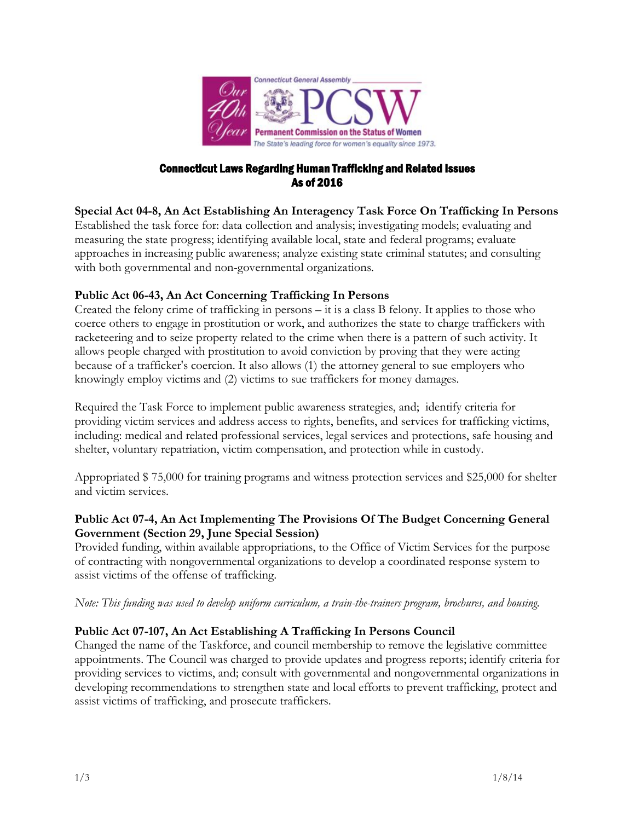

#### Connecticut Laws Regarding Human Trafficking and Related Issues As of 2016

# **Special Act 04-8, An Act Establishing An Interagency Task Force On Trafficking In Persons**

Established the task force for: data collection and analysis; investigating models; evaluating and measuring the state progress; identifying available local, state and federal programs; evaluate approaches in increasing public awareness; analyze existing state criminal statutes; and consulting with both governmental and non-governmental organizations.

# **Public Act 06-43, An Act Concerning Trafficking In Persons**

Created the felony crime of trafficking in persons – it is a class B felony. It applies to those who coerce others to engage in prostitution or work, and authorizes the state to charge traffickers with racketeering and to seize property related to the crime when there is a pattern of such activity. It allows people charged with prostitution to avoid conviction by proving that they were acting because of a trafficker's coercion. It also allows (1) the attorney general to sue employers who knowingly employ victims and (2) victims to sue traffickers for money damages.

Required the Task Force to implement public awareness strategies, and; identify criteria for providing victim services and address access to rights, benefits, and services for trafficking victims, including: medical and related professional services, legal services and protections, safe housing and shelter, voluntary repatriation, victim compensation, and protection while in custody.

Appropriated \$ 75,000 for training programs and witness protection services and \$25,000 for shelter and victim services.

# **Public Act 07-4, An Act Implementing The Provisions Of The Budget Concerning General Government (Section 29, June Special Session)**

Provided funding, within available appropriations, to the Office of Victim Services for the purpose of contracting with nongovernmental organizations to develop a coordinated response system to assist victims of the offense of trafficking.

#### *Note: This funding was used to develop uniform curriculum, a train-the-trainers program, brochures, and housing.*

# **Public Act 07-107, An Act Establishing A Trafficking In Persons Council**

Changed the name of the Taskforce, and council membership to remove the legislative committee appointments. The Council was charged to provide updates and progress reports; identify criteria for providing services to victims, and; consult with governmental and nongovernmental organizations in developing recommendations to strengthen state and local efforts to prevent trafficking, protect and assist victims of trafficking, and prosecute traffickers.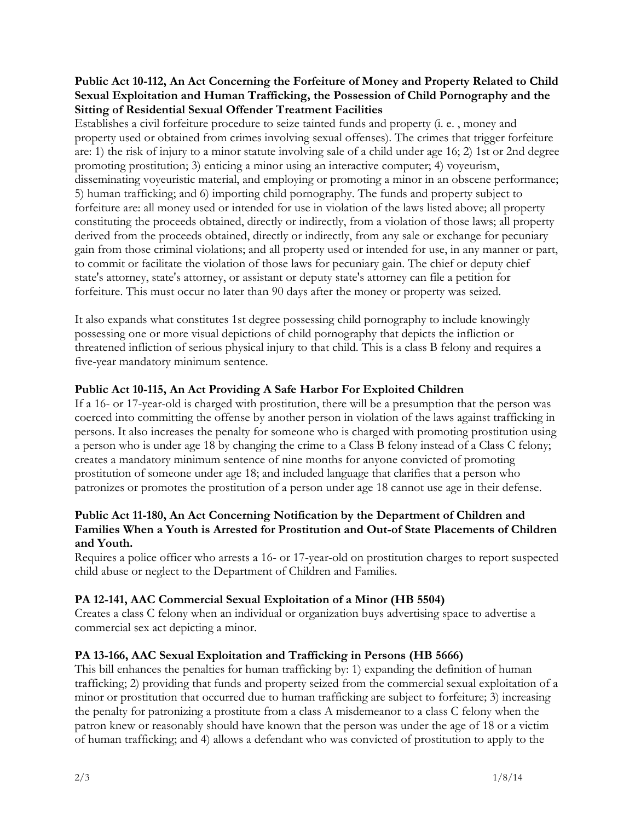#### **Public Act 10-112, An Act Concerning the Forfeiture of Money and Property Related to Child Sexual Exploitation and Human Trafficking, the Possession of Child Pornography and the Sitting of Residential Sexual Offender Treatment Facilities**

Establishes a civil forfeiture procedure to seize tainted funds and property (i. e. , money and property used or obtained from crimes involving sexual offenses). The crimes that trigger forfeiture are: 1) the risk of injury to a minor statute involving sale of a child under age 16; 2) 1st or 2nd degree promoting prostitution; 3) enticing a minor using an interactive computer; 4) voyeurism, disseminating voyeuristic material, and employing or promoting a minor in an obscene performance; 5) human trafficking; and 6) importing child pornography. The funds and property subject to forfeiture are: all money used or intended for use in violation of the laws listed above; all property constituting the proceeds obtained, directly or indirectly, from a violation of those laws; all property derived from the proceeds obtained, directly or indirectly, from any sale or exchange for pecuniary gain from those criminal violations; and all property used or intended for use, in any manner or part, to commit or facilitate the violation of those laws for pecuniary gain. The chief or deputy chief state's attorney, state's attorney, or assistant or deputy state's attorney can file a petition for forfeiture. This must occur no later than 90 days after the money or property was seized.

It also expands what constitutes 1st degree possessing child pornography to include knowingly possessing one or more visual depictions of child pornography that depicts the infliction or threatened infliction of serious physical injury to that child. This is a class B felony and requires a five-year mandatory minimum sentence.

# **Public Act 10-115, An Act Providing A Safe Harbor For Exploited Children**

If a 16- or 17-year-old is charged with prostitution, there will be a presumption that the person was coerced into committing the offense by another person in violation of the laws against trafficking in persons. It also increases the penalty for someone who is charged with promoting prostitution using a person who is under age 18 by changing the crime to a Class B felony instead of a Class C felony; creates a mandatory minimum sentence of nine months for anyone convicted of promoting prostitution of someone under age 18; and included language that clarifies that a person who patronizes or promotes the prostitution of a person under age 18 cannot use age in their defense.

#### **Public Act 11-180, An Act Concerning Notification by the Department of Children and Families When a Youth is Arrested for Prostitution and Out-of State Placements of Children and Youth.**

Requires a police officer who arrests a 16- or 17-year-old on prostitution charges to report suspected child abuse or neglect to the Department of Children and Families.

# **PA 12-141, AAC Commercial Sexual Exploitation of a Minor (HB 5504)**

Creates a class C felony when an individual or organization buys advertising space to advertise a commercial sex act depicting a minor.

# **PA 13-166, AAC Sexual Exploitation and Trafficking in Persons (HB 5666)**

This bill enhances the penalties for human trafficking by: 1) expanding the definition of human trafficking; 2) providing that funds and property seized from the commercial sexual exploitation of a minor or prostitution that occurred due to human trafficking are subject to forfeiture; 3) increasing the penalty for patronizing a prostitute from a class A misdemeanor to a class C felony when the patron knew or reasonably should have known that the person was under the age of 18 or a victim of human trafficking; and 4) allows a defendant who was convicted of prostitution to apply to the